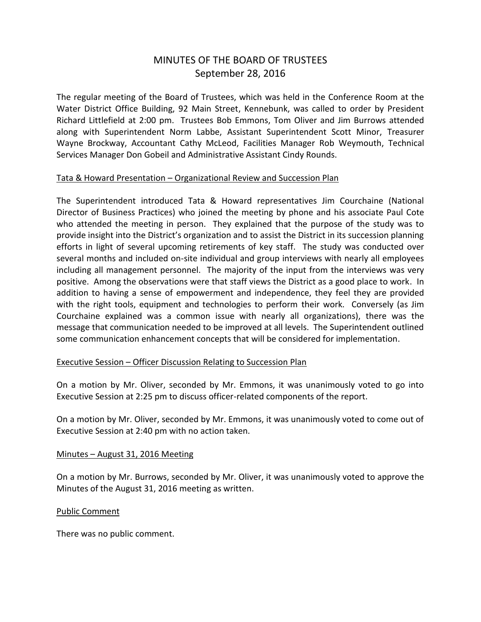# MINUTES OF THE BOARD OF TRUSTEES September 28, 2016

The regular meeting of the Board of Trustees, which was held in the Conference Room at the Water District Office Building, 92 Main Street, Kennebunk, was called to order by President Richard Littlefield at 2:00 pm. Trustees Bob Emmons, Tom Oliver and Jim Burrows attended along with Superintendent Norm Labbe, Assistant Superintendent Scott Minor, Treasurer Wayne Brockway, Accountant Cathy McLeod, Facilities Manager Rob Weymouth, Technical Services Manager Don Gobeil and Administrative Assistant Cindy Rounds.

# Tata & Howard Presentation – Organizational Review and Succession Plan

The Superintendent introduced Tata & Howard representatives Jim Courchaine (National Director of Business Practices) who joined the meeting by phone and his associate Paul Cote who attended the meeting in person. They explained that the purpose of the study was to provide insight into the District's organization and to assist the District in its succession planning efforts in light of several upcoming retirements of key staff. The study was conducted over several months and included on-site individual and group interviews with nearly all employees including all management personnel. The majority of the input from the interviews was very positive. Among the observations were that staff views the District as a good place to work. In addition to having a sense of empowerment and independence, they feel they are provided with the right tools, equipment and technologies to perform their work. Conversely (as Jim Courchaine explained was a common issue with nearly all organizations), there was the message that communication needed to be improved at all levels. The Superintendent outlined some communication enhancement concepts that will be considered for implementation.

# Executive Session – Officer Discussion Relating to Succession Plan

On a motion by Mr. Oliver, seconded by Mr. Emmons, it was unanimously voted to go into Executive Session at 2:25 pm to discuss officer-related components of the report.

On a motion by Mr. Oliver, seconded by Mr. Emmons, it was unanimously voted to come out of Executive Session at 2:40 pm with no action taken.

#### Minutes – August 31, 2016 Meeting

On a motion by Mr. Burrows, seconded by Mr. Oliver, it was unanimously voted to approve the Minutes of the August 31, 2016 meeting as written.

# Public Comment

There was no public comment.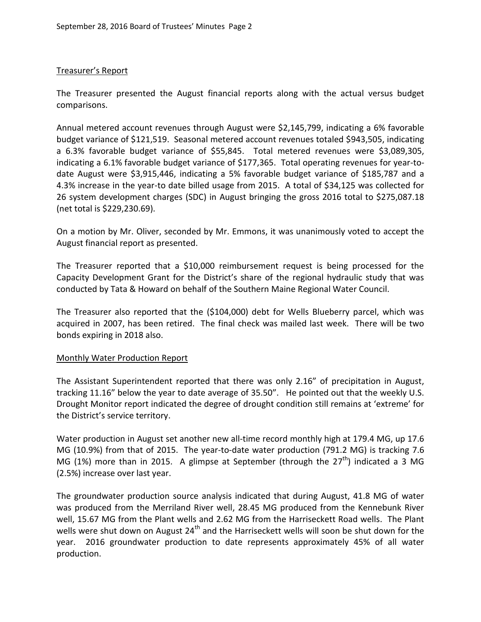# Treasurer's Report

The Treasurer presented the August financial reports along with the actual versus budget comparisons.

Annual metered account revenues through August were \$2,145,799, indicating a 6% favorable budget variance of \$121,519. Seasonal metered account revenues totaled \$943,505, indicating a 6.3% favorable budget variance of \$55,845. Total metered revenues were \$3,089,305, indicating a 6.1% favorable budget variance of \$177,365. Total operating revenues for year-todate August were \$3,915,446, indicating a 5% favorable budget variance of \$185,787 and a 4.3% increase in the year-to date billed usage from 2015. A total of \$34,125 was collected for 26 system development charges (SDC) in August bringing the gross 2016 total to \$275,087.18 (net total is \$229,230.69).

On a motion by Mr. Oliver, seconded by Mr. Emmons, it was unanimously voted to accept the August financial report as presented.

The Treasurer reported that a \$10,000 reimbursement request is being processed for the Capacity Development Grant for the District's share of the regional hydraulic study that was conducted by Tata & Howard on behalf of the Southern Maine Regional Water Council.

The Treasurer also reported that the (\$104,000) debt for Wells Blueberry parcel, which was acquired in 2007, has been retired. The final check was mailed last week. There will be two bonds expiring in 2018 also.

# Monthly Water Production Report

The Assistant Superintendent reported that there was only 2.16" of precipitation in August, tracking 11.16" below the year to date average of 35.50". He pointed out that the weekly U.S. Drought Monitor report indicated the degree of drought condition still remains at 'extreme' for the District's service territory.

Water production in August set another new all-time record monthly high at 179.4 MG, up 17.6 MG (10.9%) from that of 2015. The year-to-date water production (791.2 MG) is tracking 7.6 MG (1%) more than in 2015. A glimpse at September (through the  $27<sup>th</sup>$ ) indicated a 3 MG (2.5%) increase over last year.

The groundwater production source analysis indicated that during August, 41.8 MG of water was produced from the Merriland River well, 28.45 MG produced from the Kennebunk River well, 15.67 MG from the Plant wells and 2.62 MG from the Harriseckett Road wells. The Plant wells were shut down on August  $24<sup>th</sup>$  and the Harriseckett wells will soon be shut down for the year. 2016 groundwater production to date represents approximately 45% of all water production.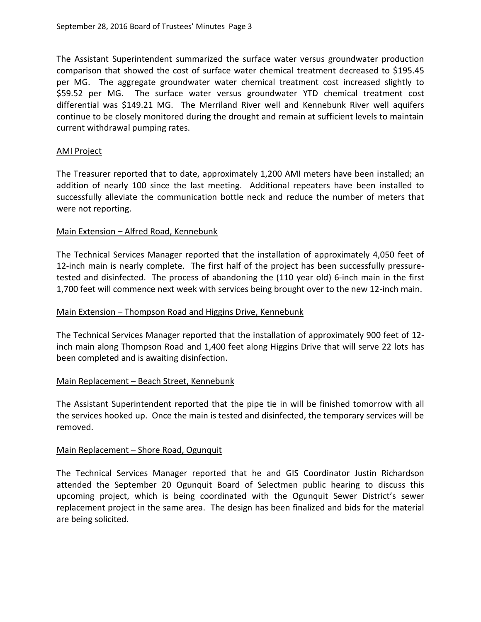The Assistant Superintendent summarized the surface water versus groundwater production comparison that showed the cost of surface water chemical treatment decreased to \$195.45 per MG. The aggregate groundwater water chemical treatment cost increased slightly to \$59.52 per MG. The surface water versus groundwater YTD chemical treatment cost differential was \$149.21 MG. The Merriland River well and Kennebunk River well aquifers continue to be closely monitored during the drought and remain at sufficient levels to maintain current withdrawal pumping rates.

#### AMI Project

The Treasurer reported that to date, approximately 1,200 AMI meters have been installed; an addition of nearly 100 since the last meeting. Additional repeaters have been installed to successfully alleviate the communication bottle neck and reduce the number of meters that were not reporting.

#### Main Extension – Alfred Road, Kennebunk

The Technical Services Manager reported that the installation of approximately 4,050 feet of 12-inch main is nearly complete. The first half of the project has been successfully pressuretested and disinfected. The process of abandoning the (110 year old) 6-inch main in the first 1,700 feet will commence next week with services being brought over to the new 12-inch main.

#### Main Extension – Thompson Road and Higgins Drive, Kennebunk

The Technical Services Manager reported that the installation of approximately 900 feet of 12 inch main along Thompson Road and 1,400 feet along Higgins Drive that will serve 22 lots has been completed and is awaiting disinfection.

#### Main Replacement – Beach Street, Kennebunk

The Assistant Superintendent reported that the pipe tie in will be finished tomorrow with all the services hooked up. Once the main is tested and disinfected, the temporary services will be removed.

# Main Replacement – Shore Road, Ogunquit

The Technical Services Manager reported that he and GIS Coordinator Justin Richardson attended the September 20 Ogunquit Board of Selectmen public hearing to discuss this upcoming project, which is being coordinated with the Ogunquit Sewer District's sewer replacement project in the same area. The design has been finalized and bids for the material are being solicited.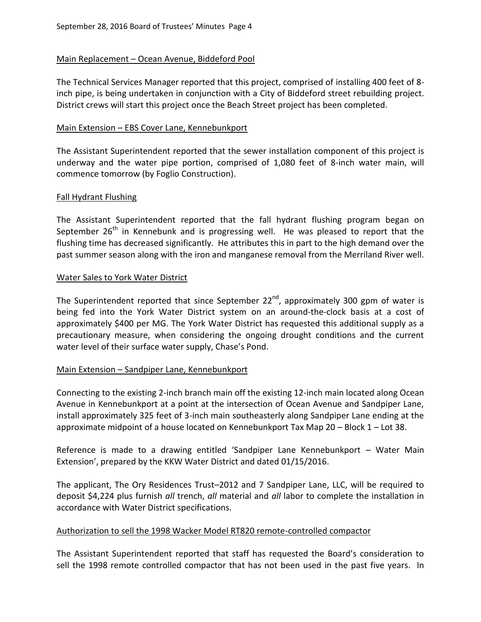# Main Replacement – Ocean Avenue, Biddeford Pool

The Technical Services Manager reported that this project, comprised of installing 400 feet of 8 inch pipe, is being undertaken in conjunction with a City of Biddeford street rebuilding project. District crews will start this project once the Beach Street project has been completed.

#### Main Extension - EBS Cover Lane, Kennebunkport

The Assistant Superintendent reported that the sewer installation component of this project is underway and the water pipe portion, comprised of 1,080 feet of 8-inch water main, will commence tomorrow (by Foglio Construction).

#### Fall Hydrant Flushing

The Assistant Superintendent reported that the fall hydrant flushing program began on September  $26<sup>th</sup>$  in Kennebunk and is progressing well. He was pleased to report that the flushing time has decreased significantly. He attributes this in part to the high demand over the past summer season along with the iron and manganese removal from the Merriland River well.

#### Water Sales to York Water District

The Superintendent reported that since September 22<sup>nd</sup>, approximately 300 gpm of water is being fed into the York Water District system on an around-the-clock basis at a cost of approximately \$400 per MG. The York Water District has requested this additional supply as a precautionary measure, when considering the ongoing drought conditions and the current water level of their surface water supply, Chase's Pond.

# Main Extension – Sandpiper Lane, Kennebunkport

Connecting to the existing 2-inch branch main off the existing 12-inch main located along Ocean Avenue in Kennebunkport at a point at the intersection of Ocean Avenue and Sandpiper Lane, install approximately 325 feet of 3-inch main southeasterly along Sandpiper Lane ending at the approximate midpoint of a house located on Kennebunkport Tax Map 20 – Block 1 – Lot 38.

Reference is made to a drawing entitled 'Sandpiper Lane Kennebunkport – Water Main Extension', prepared by the KKW Water District and dated 01/15/2016.

The applicant, The Ory Residences Trust–2012 and 7 Sandpiper Lane, LLC, will be required to deposit \$4,224 plus furnish *all* trench, *all* material and *all* labor to complete the installation in accordance with Water District specifications.

# Authorization to sell the 1998 Wacker Model RT820 remote-controlled compactor

The Assistant Superintendent reported that staff has requested the Board's consideration to sell the 1998 remote controlled compactor that has not been used in the past five years. In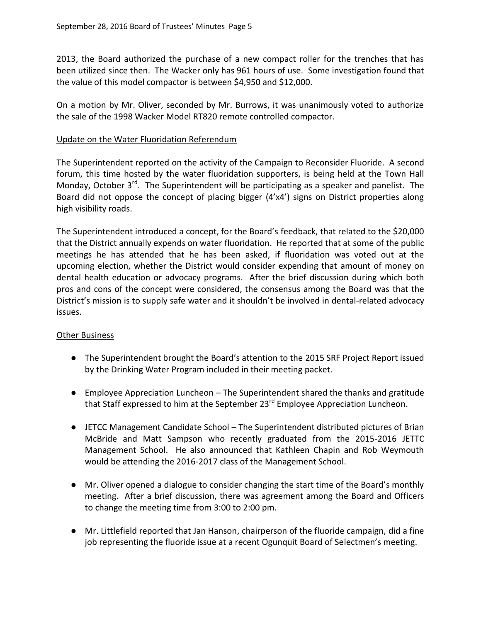2013, the Board authorized the purchase of a new compact roller for the trenches that has been utilized since then. The Wacker only has 961 hours of use. Some investigation found that the value of this model compactor is between \$4,950 and \$12,000.

On a motion by Mr. Oliver, seconded by Mr. Burrows, it was unanimously voted to authorize the sale of the 1998 Wacker Model RT820 remote controlled compactor.

# Update on the Water Fluoridation Referendum

The Superintendent reported on the activity of the Campaign to Reconsider Fluoride. A second forum, this time hosted by the water fluoridation supporters, is being held at the Town Hall Monday, October  $3^{rd}$ . The Superintendent will be participating as a speaker and panelist. The Board did not oppose the concept of placing bigger (4'x4') signs on District properties along high visibility roads.

The Superintendent introduced a concept, for the Board's feedback, that related to the \$20,000 that the District annually expends on water fluoridation. He reported that at some of the public meetings he has attended that he has been asked, if fluoridation was voted out at the upcoming election, whether the District would consider expending that amount of money on dental health education or advocacy programs. After the brief discussion during which both pros and cons of the concept were considered, the consensus among the Board was that the District's mission is to supply safe water and it shouldn't be involved in dental-related advocacy issues.

# **Other Business**

- The Superintendent brought the Board's attention to the 2015 SRF Project Report issued by the Drinking Water Program included in their meeting packet.
- Employee Appreciation Luncheon The Superintendent shared the thanks and gratitude that Staff expressed to him at the September 23<sup>rd</sup> Employee Appreciation Luncheon.
- JETCC Management Candidate School The Superintendent distributed pictures of Brian McBride and Matt Sampson who recently graduated from the 2015-2016 JETTC Management School. He also announced that Kathleen Chapin and Rob Weymouth would be attending the 2016-2017 class of the Management School.
- Mr. Oliver opened a dialogue to consider changing the start time of the Board's monthly meeting. After a brief discussion, there was agreement among the Board and Officers to change the meeting time from 3:00 to 2:00 pm.
- Mr. Littlefield reported that Jan Hanson, chairperson of the fluoride campaign, did a fine job representing the fluoride issue at a recent Ogunquit Board of Selectmen's meeting.